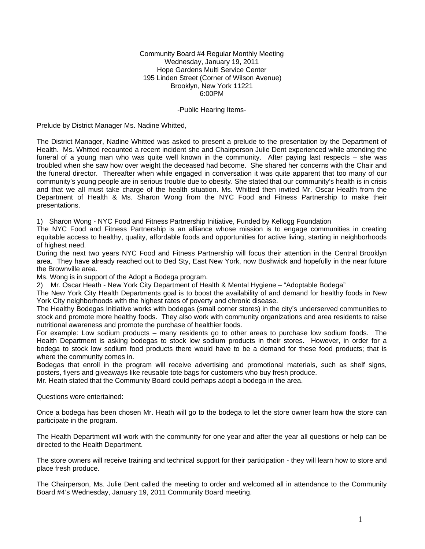#### Community Board #4 Regular Monthly Meeting Wednesday, January 19, 2011 Hope Gardens Multi Service Center 195 Linden Street (Corner of Wilson Avenue) Brooklyn, New York 11221 6:00PM

#### -Public Hearing Items-

Prelude by District Manager Ms. Nadine Whitted,

The District Manager, Nadine Whitted was asked to present a prelude to the presentation by the Department of Health. Ms. Whitted recounted a recent incident she and Chairperson Julie Dent experienced while attending the funeral of a young man who was quite well known in the community. After paying last respects – she was troubled when she saw how over weight the deceased had become. She shared her concerns with the Chair and the funeral director. Thereafter when while engaged in conversation it was quite apparent that too many of our community's young people are in serious trouble due to obesity. She stated that our community's health is in crisis and that we all must take charge of the health situation. Ms. Whitted then invited Mr. Oscar Health from the Department of Health & Ms. Sharon Wong from the NYC Food and Fitness Partnership to make their presentations.

1) Sharon Wong - NYC Food and Fitness Partnership Initiative, Funded by Kellogg Foundation

The NYC Food and Fitness Partnership is an alliance whose mission is to engage communities in creating equitable access to healthy, quality, affordable foods and opportunities for active living, starting in neighborhoods of highest need.

During the next two years NYC Food and Fitness Partnership will focus their attention in the Central Brooklyn area. They have already reached out to Bed Sty, East New York, now Bushwick and hopefully in the near future the Brownville area.

Ms. Wong is in support of the Adopt a Bodega program.

2) Mr. Oscar Heath - New York City Department of Health & Mental Hygiene – "Adoptable Bodega"

The New York City Health Departments goal is to boost the availability of and demand for healthy foods in New York City neighborhoods with the highest rates of poverty and chronic disease.

The Healthy Bodegas Initiative works with bodegas (small corner stores) in the city's underserved communities to stock and promote more healthy foods. They also work with community organizations and area residents to raise nutritional awareness and promote the purchase of healthier foods.

For example: Low sodium products – many residents go to other areas to purchase low sodium foods. The Health Department is asking bodegas to stock low sodium products in their stores. However, in order for a bodega to stock low sodium food products there would have to be a demand for these food products; that is where the community comes in.

Bodegas that enroll in the program will receive advertising and promotional materials, such as shelf signs, posters, flyers and giveaways like reusable tote bags for customers who buy fresh produce.

Mr. Heath stated that the Community Board could perhaps adopt a bodega in the area.

Questions were entertained:

Once a bodega has been chosen Mr. Heath will go to the bodega to let the store owner learn how the store can participate in the program.

The Health Department will work with the community for one year and after the year all questions or help can be directed to the Health Department.

The store owners will receive training and technical support for their participation - they will learn how to store and place fresh produce.

The Chairperson, Ms. Julie Dent called the meeting to order and welcomed all in attendance to the Community Board #4's Wednesday, January 19, 2011 Community Board meeting.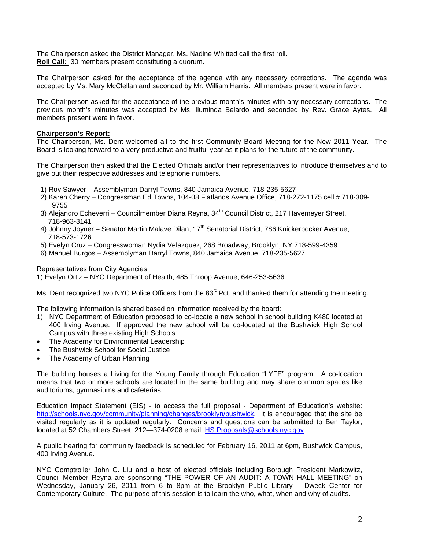The Chairperson asked the District Manager, Ms. Nadine Whitted call the first roll. **Roll Call:** 30 members present constituting a quorum.

The Chairperson asked for the acceptance of the agenda with any necessary corrections. The agenda was accepted by Ms. Mary McClellan and seconded by Mr. William Harris. All members present were in favor.

The Chairperson asked for the acceptance of the previous month's minutes with any necessary corrections. The previous month's minutes was accepted by Ms. Iluminda Belardo and seconded by Rev. Grace Aytes. All members present were in favor.

## **Chairperson's Report:**

The Chairperson, Ms. Dent welcomed all to the first Community Board Meeting for the New 2011 Year. The Board is looking forward to a very productive and fruitful year as it plans for the future of the community.

The Chairperson then asked that the Elected Officials and/or their representatives to introduce themselves and to give out their respective addresses and telephone numbers.

- 1) Roy Sawyer Assemblyman Darryl Towns, 840 Jamaica Avenue, 718-235-5627
- 2) Karen Cherry Congressman Ed Towns, 104-08 Flatlands Avenue Office, 718-272-1175 cell # 718-309- 9755
- 3) Alejandro Echeverri Councilmember Diana Reyna, 34<sup>th</sup> Council District, 217 Havemeyer Street, 718-963-3141
- 4) Johnny Joyner Senator Martin Malave Dilan, 17<sup>th</sup> Senatorial District, 786 Knickerbocker Avenue, 718-573-1726
- 5) Evelyn Cruz Congresswoman Nydia Velazquez, 268 Broadway, Brooklyn, NY 718-599-4359
- 6) Manuel Burgos Assemblyman Darryl Towns, 840 Jamaica Avenue, 718-235-5627

Representatives from City Agencies

1) Evelyn Ortiz – NYC Department of Health, 485 Throop Avenue, 646-253-5636

Ms. Dent recognized two NYC Police Officers from the 83<sup>rd</sup> Pct. and thanked them for attending the meeting.

The following information is shared based on information received by the board:

- 1) NYC Department of Education proposed to co-locate a new school in school building K480 located at 400 Irving Avenue. If approved the new school will be co-located at the Bushwick High School Campus with three existing High Schools:
- The Academy for Environmental Leadership
- The Bushwick School for Social Justice
- The Academy of Urban Planning

The building houses a Living for the Young Family through Education "LYFE" program. A co-location means that two or more schools are located in the same building and may share common spaces like auditoriums, gymnasiums and cafeterias.

Education Impact Statement (EIS) - to access the full proposal - Department of Education's website: http://schools.nyc.gov/community/planning/changes/brooklyn/bushwick. It is encouraged that the site be visited regularly as it is updated regularly. Concerns and questions can be submitted to Ben Taylor, located at 52 Chambers Street, 212-374-0208 email: HS.Proposals@schools.nyc.gov

A public hearing for community feedback is scheduled for February 16, 2011 at 6pm, Bushwick Campus, 400 Irving Avenue.

NYC Comptroller John C. Liu and a host of elected officials including Borough President Markowitz, Council Member Reyna are sponsoring "THE POWER OF AN AUDIT: A TOWN HALL MEETING" on Wednesday, January 26, 2011 from 6 to 8pm at the Brooklyn Public Library – Dweck Center for Contemporary Culture. The purpose of this session is to learn the who, what, when and why of audits.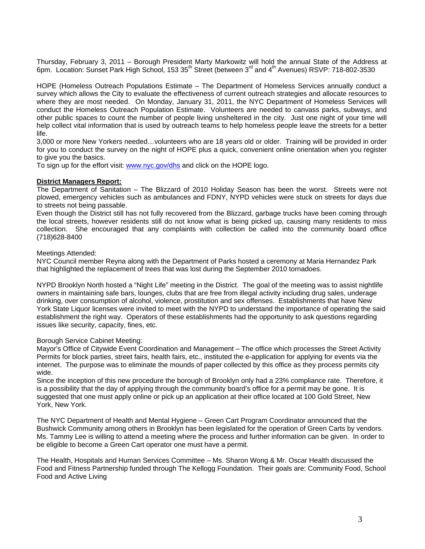Thursday, February 3, 2011 – Borough President Marty Markowitz will hold the annual State of the Address at 6pm. Location: Sunset Park High School, 153 35<sup>th</sup> Street (between 3<sup>rd</sup> and 4<sup>th</sup> Avenues) RSVP: 718-802-3530

HOPE (Homeless Outreach Populations Estimate – The Department of Homeless Services annually conduct a survey which allows the City to evaluate the effectiveness of current outreach strategies and allocate resources to where they are most needed. On Monday, January 31, 2011, the NYC Department of Homeless Services will conduct the Homeless Outreach Population Estimate. Volunteers are needed to canvass parks, subways, and other public spaces to count the number of people living unsheltered in the city. Just one night of your time will help collect vital information that is used by outreach teams to help homeless people leave the streets for a better life.

3,000 or more New Yorkers needed…volunteers who are 18 years old or older. Training will be provided in order for you to conduct the survey on the night of HOPE plus a quick, convenient online orientation when you register to give you the basics.

To sign up for the effort visit: www.nyc.gov/dhs and click on the HOPE logo.

## **District Managers Report:**

The Department of Sanitation – The Blizzard of 2010 Holiday Season has been the worst. Streets were not plowed, emergency vehicles such as ambulances and FDNY, NYPD vehicles were stuck on streets for days due to streets not being passable.

Even though the District still has not fully recovered from the Blizzard, garbage trucks have been coming through the local streets, however residents still do not know what is being picked up, causing many residents to miss collection. She encouraged that any complaints with collection be called into the community board office (718)628-8400

#### Meetings Attended:

NYC Council member Reyna along with the Department of Parks hosted a ceremony at Maria Hernandez Park that highlighted the replacement of trees that was lost during the September 2010 tornadoes.

NYPD Brooklyn North hosted a "Night Life" meeting in the District. The goal of the meeting was to assist nightlife owners in maintaining safe bars, lounges, clubs that are free from illegal activity including drug sales, underage drinking, over consumption of alcohol, violence, prostitution and sex offenses. Establishments that have New York State Liquor licenses were invited to meet with the NYPD to understand the importance of operating the said establishment the right way. Operators of these establishments had the opportunity to ask questions regarding issues like security, capacity, fines, etc.

## Borough Service Cabinet Meeting:

Mayor's Office of Citywide Event Coordination and Management – The office which processes the Street Activity Permits for block parties, street fairs, health fairs, etc., instituted the e-application for applying for events via the internet. The purpose was to eliminate the mounds of paper collected by this office as they process permits city wide.

Since the inception of this new procedure the borough of Brooklyn only had a 23% compliance rate. Therefore, it is a possibility that the day of applying through the community board's office for a permit may be gone. It is suggested that one must apply online or pick up an application at their office located at 100 Gold Street, New York, New York.

The NYC Department of Health and Mental Hygiene – Green Cart Program Coordinator announced that the Bushwick Community among others in Brooklyn has been legislated for the operation of Green Carts by vendors. Ms. Tammy Lee is willing to attend a meeting where the process and further information can be given. In order to be eligible to become a Green Cart operator one must have a permit.

The Health, Hospitals and Human Services Committee – Ms. Sharon Wong & Mr. Oscar Health discussed the Food and Fitness Partnership funded through The Kellogg Foundation. Their goals are: Community Food, School Food and Active Living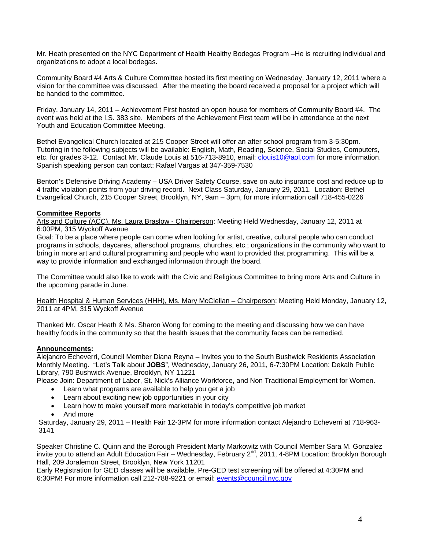Mr. Heath presented on the NYC Department of Health Healthy Bodegas Program –He is recruiting individual and organizations to adopt a local bodegas.

Community Board #4 Arts & Culture Committee hosted its first meeting on Wednesday, January 12, 2011 where a vision for the committee was discussed. After the meeting the board received a proposal for a project which will be handed to the committee.

Friday, January 14, 2011 – Achievement First hosted an open house for members of Community Board #4. The event was held at the I.S. 383 site. Members of the Achievement First team will be in attendance at the next Youth and Education Committee Meeting.

Bethel Evangelical Church located at 215 Cooper Street will offer an after school program from 3-5:30pm. Tutoring in the following subjects will be available: English, Math, Reading, Science, Social Studies, Computers, etc. for grades 3-12. Contact Mr. Claude Louis at 516-713-8910, email: clouis10@aol.com for more information. Spanish speaking person can contact: Rafael Vargas at 347-359-7530

Benton's Defensive Driving Academy – USA Driver Safety Course, save on auto insurance cost and reduce up to 4 traffic violation points from your driving record. Next Class Saturday, January 29, 2011. Location: Bethel Evangelical Church, 215 Cooper Street, Brooklyn, NY, 9am – 3pm, for more information call 718-455-0226

# **Committee Reports**

Arts and Culture (ACC), Ms. Laura Braslow - Chairperson: Meeting Held Wednesday, January 12, 2011 at 6:00PM, 315 Wyckoff Avenue

Goal: To be a place where people can come when looking for artist, creative, cultural people who can conduct programs in schools, daycares, afterschool programs, churches, etc.; organizations in the community who want to bring in more art and cultural programming and people who want to provided that programming. This will be a way to provide information and exchanged information through the board.

The Committee would also like to work with the Civic and Religious Committee to bring more Arts and Culture in the upcoming parade in June.

Health Hospital & Human Services (HHH), Ms. Mary McClellan - Chairperson: Meeting Held Monday, January 12, 2011 at 4PM, 315 Wyckoff Avenue

Thanked Mr. Oscar Heath & Ms. Sharon Wong for coming to the meeting and discussing how we can have healthy foods in the community so that the health issues that the community faces can be remedied.

## **Announcements:**

Alejandro Echeverri, Council Member Diana Reyna – Invites you to the South Bushwick Residents Association Monthly Meeting. "Let's Talk about **JOBS**", Wednesday, January 26, 2011, 6-7:30PM Location: Dekalb Public Library, 790 Bushwick Avenue, Brooklyn, NY 11221

Please Join: Department of Labor, St. Nick's Alliance Workforce, and Non Traditional Employment for Women.

- Learn what programs are available to help you get a job
- Learn about exciting new job opportunities in your city
- Learn how to make yourself more marketable in today's competitive job market
- And more

Saturday, January 29, 2011 – Health Fair 12-3PM for more information contact Alejandro Echeverri at 718-963- 3141

Speaker Christine C. Quinn and the Borough President Marty Markowitz with Council Member Sara M. Gonzalez invite you to attend an Adult Education Fair – Wednesday, February 2<sup>nd</sup>, 2011, 4-8PM Location: Brooklyn Borough Hall, 209 Joralemon Street, Brooklyn, New York 11201

Early Registration for GED classes will be available, Pre-GED test screening will be offered at 4:30PM and 6:30PM! For more information call 212-788-9221 or email: events@council.nyc.gov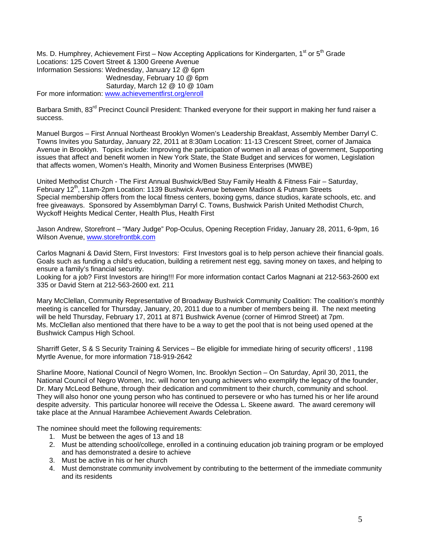Ms. D. Humphrey, Achievement First – Now Accepting Applications for Kindergarten, 1<sup>st</sup> or 5<sup>th</sup> Grade Locations: 125 Covert Street & 1300 Greene Avenue Information Sessions: Wednesday, January 12 @ 6pm Wednesday, February 10 @ 6pm Saturday, March 12 @ 10 @ 10am For more information: www.achievementfirst.org/enroll

Barbara Smith, 83<sup>rd</sup> Precinct Council President: Thanked everyone for their support in making her fund raiser a success.

Manuel Burgos – First Annual Northeast Brooklyn Women's Leadership Breakfast, Assembly Member Darryl C. Towns Invites you Saturday, January 22, 2011 at 8:30am Location: 11-13 Crescent Street, corner of Jamaica Avenue in Brooklyn. Topics include: Improving the participation of women in all areas of government, Supporting issues that affect and benefit women in New York State, the State Budget and services for women, Legislation that affects women, Women's Health, Minority and Women Business Enterprises (MWBE)

United Methodist Church - The First Annual Bushwick/Bed Stuy Family Health & Fitness Fair – Saturday, February 12<sup>th</sup>, 11am-2pm Location: 1139 Bushwick Avenue between Madison & Putnam Streets Special membership offers from the local fitness centers, boxing gyms, dance studios, karate schools, etc. and free giveaways. Sponsored by Assemblyman Darryl C. Towns, Bushwick Parish United Methodist Church, Wyckoff Heights Medical Center, Health Plus, Health First

Jason Andrew, Storefront – "Mary Judge" Pop-Oculus, Opening Reception Friday, January 28, 2011, 6-9pm, 16 Wilson Avenue, www.storefrontbk.com

Carlos Magnani & David Stern, First Investors: First Investors goal is to help person achieve their financial goals. Goals such as funding a child's education, building a retirement nest egg, saving money on taxes, and helping to ensure a family's financial security.

Looking for a job? First Investors are hiring!!! For more information contact Carlos Magnani at 212-563-2600 ext 335 or David Stern at 212-563-2600 ext. 211

Mary McClellan, Community Representative of Broadway Bushwick Community Coalition: The coalition's monthly meeting is cancelled for Thursday, January, 20, 2011 due to a number of members being ill. The next meeting will be held Thursday, February 17, 2011 at 871 Bushwick Avenue (corner of Himrod Street) at 7pm. Ms. McClellan also mentioned that there have to be a way to get the pool that is not being used opened at the Bushwick Campus High School.

Sharriff Geter, S & S Security Training & Services – Be eligible for immediate hiring of security officers! , 1198 Myrtle Avenue, for more information 718-919-2642

Sharline Moore, National Council of Negro Women, Inc. Brooklyn Section – On Saturday, April 30, 2011, the National Council of Negro Women, Inc. will honor ten young achievers who exemplify the legacy of the founder, Dr. Mary McLeod Bethune, through their dedication and commitment to their church, community and school. They will also honor one young person who has continued to persevere or who has turned his or her life around despite adversity. This particular honoree will receive the Odessa L. Skeene award. The award ceremony will take place at the Annual Harambee Achievement Awards Celebration.

The nominee should meet the following requirements:

- 1. Must be between the ages of 13 and 18
- 2. Must be attending school/college, enrolled in a continuing education job training program or be employed and has demonstrated a desire to achieve
- 3. Must be active in his or her church
- 4. Must demonstrate community involvement by contributing to the betterment of the immediate community and its residents